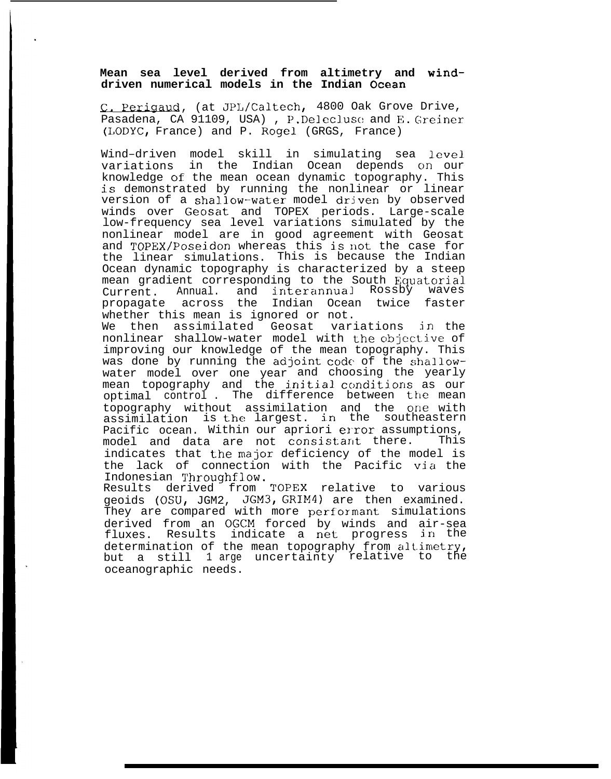## **Mean sea level derived from altimetry and winddriven numerical models in the Indian Ocean**

C. Perigaud, (at JPL/Caltech, 4800 Oak Grove Drive, Pasadena, CA 91109, USA), P.Delecluse and E. Greiner (LODYC, France) and P. Rogel (GRGS, France)

Wind–driven model skill in simulating sea level variations in the Indian Ocean depends on our knowledge of the mean ocean dynamic topography. This is demonstrated by running the nonlinear or linear version of a shallow-water model driven by observed winds over Geosat and TOPEX periods. Large-scale low-frequency sea level variations simulated by the nonlinear model are in good agreement with Geosat and TOPEX/Poseidon whereas this is not the case for the linear simulations. This is because the Indian Ocean dynamic topography is characterized by a steep mean gradient corresponding to the South Equatorial Current. Annual. and interannual Rossby waves propagate across the Indian Ocean twice faster whether this mean is ignored or not.

We then assimilated Geosat variations in the nonlinear shallow-water model with the objective of improving our knowledge of the mean topography. This was done by running the adjoint code of the shallowwater model over one year and choosing the yearly mean topography and the initial conditions as our optimal control. The difference between the mean topography without assimilation and the one with assimilation is the largest. in the southeastern Pacific ocean. Within our apriori error assumptions,<br>model and data are not consistant there. This model and data are not consistant there. indicates that the major deficiency of the model is the lack of connection with the Pacific via the Indonesian Throughflow.

Results derived from TOPEX relative to various geoids (OSU, JGM2, JGM3, GRIM4) are then examined. They are compared with more performant simulations derived from an OGCM forced by winds and air-sea fluxes. Results indicate a net progress in the determination of the mean topography from altimetry, but a still 1 arge uncertainty relative to the oceanographic needs.